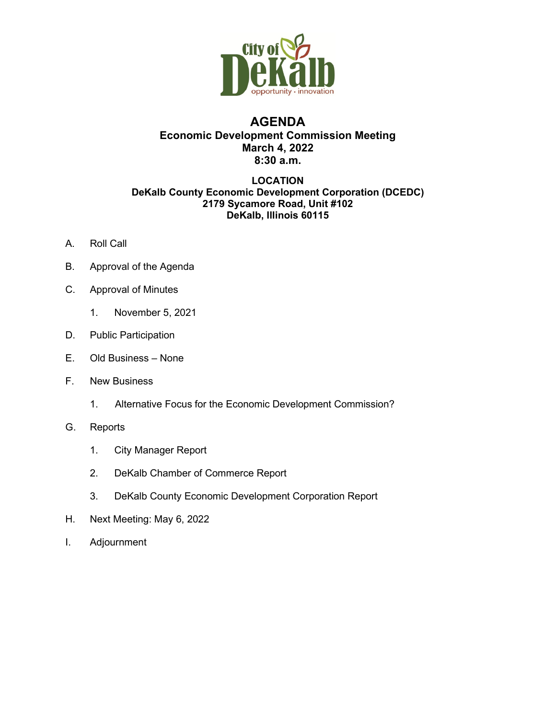

# **AGENDA Economic Development Commission Meeting March 4, 2022 8:30 a.m.**

#### **LOCATION DeKalb County Economic Development Corporation (DCEDC) 2179 Sycamore Road, Unit #102 DeKalb, Illinois 60115**

- A. Roll Call
- B. Approval of the Agenda
- C. Approval of Minutes
	- 1. November 5, 2021
- D. Public Participation
- E. Old Business None
- F. New Business
	- 1. Alternative Focus for the Economic Development Commission?
- G. Reports
	- 1. City Manager Report
	- 2. DeKalb Chamber of Commerce Report
	- 3. DeKalb County Economic Development Corporation Report
- H. Next Meeting: May 6, 2022
- I. Adjournment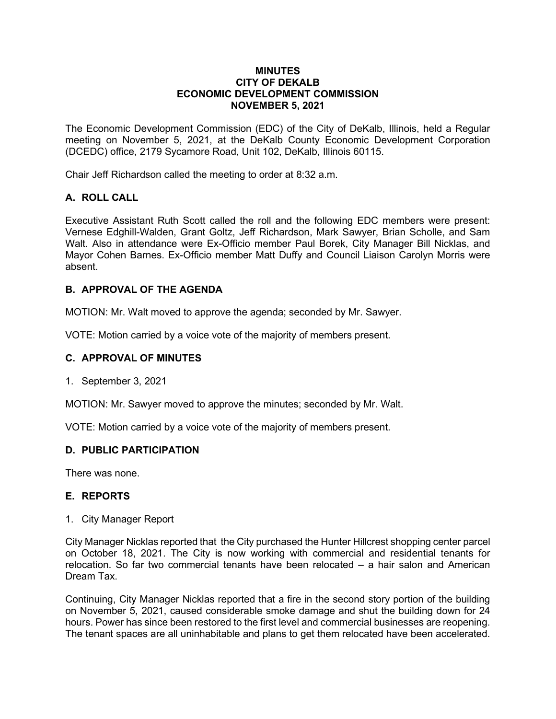#### **MINUTES CITY OF DEKALB ECONOMIC DEVELOPMENT COMMISSION NOVEMBER 5, 2021**

The Economic Development Commission (EDC) of the City of DeKalb, Illinois, held a Regular meeting on November 5, 2021, at the DeKalb County Economic Development Corporation (DCEDC) office, 2179 Sycamore Road, Unit 102, DeKalb, Illinois 60115.

Chair Jeff Richardson called the meeting to order at 8:32 a.m.

# **A. ROLL CALL**

Executive Assistant Ruth Scott called the roll and the following EDC members were present: Vernese Edghill-Walden, Grant Goltz, Jeff Richardson, Mark Sawyer, Brian Scholle, and Sam Walt. Also in attendance were Ex-Officio member Paul Borek, City Manager Bill Nicklas, and Mayor Cohen Barnes. Ex-Officio member Matt Duffy and Council Liaison Carolyn Morris were absent.

# **B. APPROVAL OF THE AGENDA**

MOTION: Mr. Walt moved to approve the agenda; seconded by Mr. Sawyer.

VOTE: Motion carried by a voice vote of the majority of members present.

#### **C. APPROVAL OF MINUTES**

1. September 3, 2021

MOTION: Mr. Sawyer moved to approve the minutes; seconded by Mr. Walt.

VOTE: Motion carried by a voice vote of the majority of members present.

# **D. PUBLIC PARTICIPATION**

There was none.

# **E. REPORTS**

1. City Manager Report

City Manager Nicklas reported that the City purchased the Hunter Hillcrest shopping center parcel on October 18, 2021. The City is now working with commercial and residential tenants for relocation. So far two commercial tenants have been relocated – a hair salon and American Dream Tax.

Continuing, City Manager Nicklas reported that a fire in the second story portion of the building on November 5, 2021, caused considerable smoke damage and shut the building down for 24 hours. Power has since been restored to the first level and commercial businesses are reopening. The tenant spaces are all uninhabitable and plans to get them relocated have been accelerated.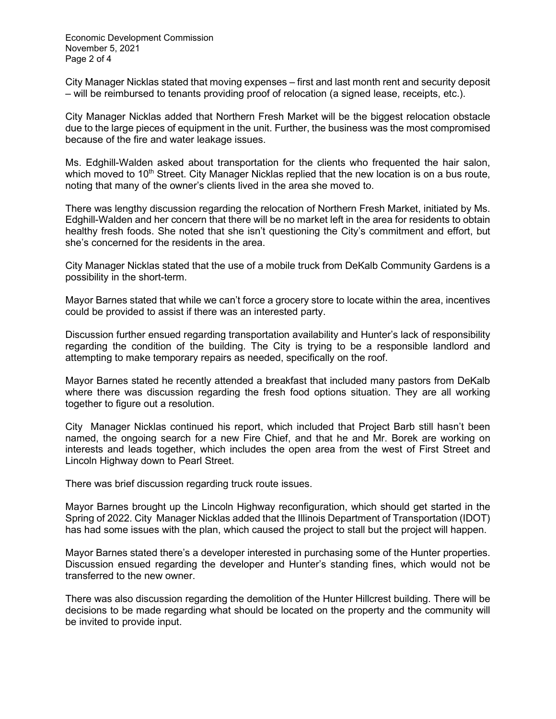Economic Development Commission November 5, 2021 Page 2 of 4

City Manager Nicklas stated that moving expenses – first and last month rent and security deposit – will be reimbursed to tenants providing proof of relocation (a signed lease, receipts, etc.).

City Manager Nicklas added that Northern Fresh Market will be the biggest relocation obstacle due to the large pieces of equipment in the unit. Further, the business was the most compromised because of the fire and water leakage issues.

Ms. Edghill-Walden asked about transportation for the clients who frequented the hair salon, which moved to  $10<sup>th</sup>$  Street. City Manager Nicklas replied that the new location is on a bus route, noting that many of the owner's clients lived in the area she moved to.

There was lengthy discussion regarding the relocation of Northern Fresh Market, initiated by Ms. Edghill-Walden and her concern that there will be no market left in the area for residents to obtain healthy fresh foods. She noted that she isn't questioning the City's commitment and effort, but she's concerned for the residents in the area.

City Manager Nicklas stated that the use of a mobile truck from DeKalb Community Gardens is a possibility in the short-term.

Mayor Barnes stated that while we can't force a grocery store to locate within the area, incentives could be provided to assist if there was an interested party.

Discussion further ensued regarding transportation availability and Hunter's lack of responsibility regarding the condition of the building. The City is trying to be a responsible landlord and attempting to make temporary repairs as needed, specifically on the roof.

Mayor Barnes stated he recently attended a breakfast that included many pastors from DeKalb where there was discussion regarding the fresh food options situation. They are all working together to figure out a resolution.

City Manager Nicklas continued his report, which included that Project Barb still hasn't been named, the ongoing search for a new Fire Chief, and that he and Mr. Borek are working on interests and leads together, which includes the open area from the west of First Street and Lincoln Highway down to Pearl Street.

There was brief discussion regarding truck route issues.

Mayor Barnes brought up the Lincoln Highway reconfiguration, which should get started in the Spring of 2022. City Manager Nicklas added that the Illinois Department of Transportation (IDOT) has had some issues with the plan, which caused the project to stall but the project will happen.

Mayor Barnes stated there's a developer interested in purchasing some of the Hunter properties. Discussion ensued regarding the developer and Hunter's standing fines, which would not be transferred to the new owner.

There was also discussion regarding the demolition of the Hunter Hillcrest building. There will be decisions to be made regarding what should be located on the property and the community will be invited to provide input.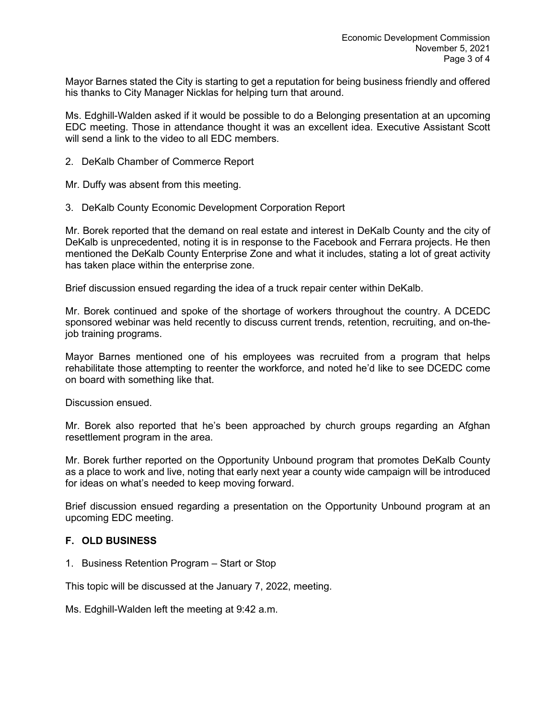Mayor Barnes stated the City is starting to get a reputation for being business friendly and offered his thanks to City Manager Nicklas for helping turn that around.

Ms. Edghill-Walden asked if it would be possible to do a Belonging presentation at an upcoming EDC meeting. Those in attendance thought it was an excellent idea. Executive Assistant Scott will send a link to the video to all EDC members.

2. DeKalb Chamber of Commerce Report

Mr. Duffy was absent from this meeting.

3. DeKalb County Economic Development Corporation Report

Mr. Borek reported that the demand on real estate and interest in DeKalb County and the city of DeKalb is unprecedented, noting it is in response to the Facebook and Ferrara projects. He then mentioned the DeKalb County Enterprise Zone and what it includes, stating a lot of great activity has taken place within the enterprise zone.

Brief discussion ensued regarding the idea of a truck repair center within DeKalb.

Mr. Borek continued and spoke of the shortage of workers throughout the country. A DCEDC sponsored webinar was held recently to discuss current trends, retention, recruiting, and on-thejob training programs.

Mayor Barnes mentioned one of his employees was recruited from a program that helps rehabilitate those attempting to reenter the workforce, and noted he'd like to see DCEDC come on board with something like that.

Discussion ensued.

Mr. Borek also reported that he's been approached by church groups regarding an Afghan resettlement program in the area.

Mr. Borek further reported on the Opportunity Unbound program that promotes DeKalb County as a place to work and live, noting that early next year a county wide campaign will be introduced for ideas on what's needed to keep moving forward.

Brief discussion ensued regarding a presentation on the Opportunity Unbound program at an upcoming EDC meeting.

# **F. OLD BUSINESS**

1. Business Retention Program – Start or Stop

This topic will be discussed at the January 7, 2022, meeting.

Ms. Edghill-Walden left the meeting at 9:42 a.m.